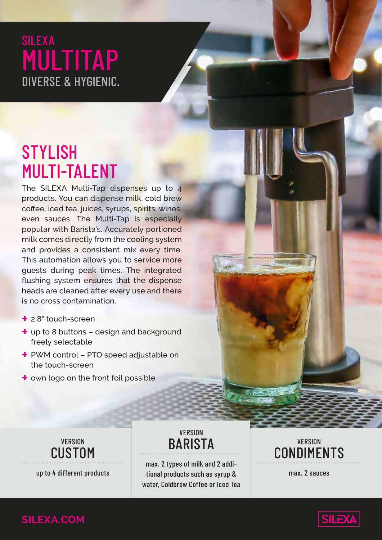### SILEXA MULTITAP DIVERSE & HYGIENIC.

## **STYLISH** MULTI-TALENT

The SILEXA Multi-Tap dispenses up to 4 products. You can dispense milk, cold brew coffee, iced tea, juices, syrups, spirits, wines, even sauces. The Multi-Tap is especially popular with Barista's. Accurately portioned milk comes directly from the cooling system and provides a consistent mix every time. This automation allows you to service more guests during peak times. The integrated flushing system ensures that the dispense heads are cleaned after every use and there is no cross contamination.

- **+** 2,8" touch-screen
- **+** up to 8 buttons design and background freely selectable
- **+** PWM control PTO speed adjustable on the touch-screen
- **+** own logo on the front foil possible



**VERSION BARISTA** 

up to 4 different products tional products such as syrup & max. 2 sauces max. 2 types of milk and 2 addiwater, Coldbrew Coffee or Iced Tea

#### **VERSION** CONDIMENTS